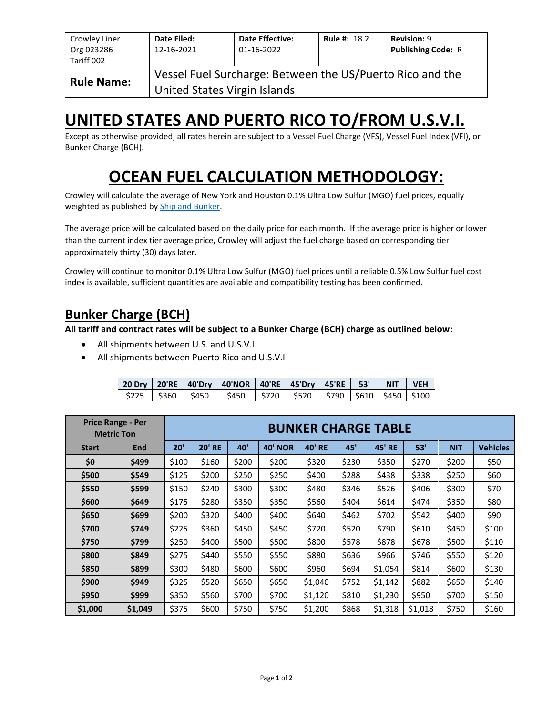| Crowley Liner<br>Org 023286<br>Tariff 002 | Date Filed:<br>12-16-2021                                                                 | <b>Date Effective:</b><br>01-16-2022 | <b>Rule #: 18.2</b> | <b>Revision: 9</b><br><b>Publishing Code: R</b> |  |  |  |  |  |
|-------------------------------------------|-------------------------------------------------------------------------------------------|--------------------------------------|---------------------|-------------------------------------------------|--|--|--|--|--|
| <b>Rule Name:</b>                         | Vessel Fuel Surcharge: Between the US/Puerto Rico and the<br>United States Virgin Islands |                                      |                     |                                                 |  |  |  |  |  |

# **UNITED STATES AND PUERTO RICO TO/FROM U.S.V.I.**

Except as otherwise provided, all rates herein are subject to a Vessel Fuel Charge (VFS), Vessel Fuel Index (VFI), or Bunker Charge (BCH).

# **OCEAN FUEL CALCULATION METHODOLOGY:**

Crowley will calculate the average of New York and Houston 0.1% Ultra Low Sulfur (MGO) fuel prices, equally weighted as published by [Ship and Bunker.](https://shipandbunker.com/)

The average price will be calculated based on the daily price for each month. If the average price is higher or lower than the current index tier average price, Crowley will adjust the fuel charge based on corresponding tier approximately thirty (30) days later.

Crowley will continue to monitor 0.1% Ultra Low Sulfur (MGO) fuel prices until a reliable 0.5% Low Sulfur fuel cost index is available, sufficient quantities are available and compatibility testing has been confirmed.

### **Bunker Charge (BCH)**

**All tariff and contract rates will be subject to a Bunker Charge (BCH) charge as outlined below:**

- All shipments between U.S. and U.S.V.I
- All shipments between Puerto Rico and U.S.V.I

|  | 20'Dry   20'RE   40'Dry   40'NOR   40'RE   45'Dry   45'RE   53'   NIT   VEH   |  |  |  |
|--|-------------------------------------------------------------------------------|--|--|--|
|  | \$225   \$360   \$450   \$450   \$720   \$520   \$790   \$610   \$450   \$100 |  |  |  |

|              | <b>Price Range - Per</b><br><b>Metric Ton</b> | <b>BUNKER CHARGE TABLE</b> |               |       |                |               |       |               |         |            |                 |
|--------------|-----------------------------------------------|----------------------------|---------------|-------|----------------|---------------|-------|---------------|---------|------------|-----------------|
| <b>Start</b> | End                                           | 20'                        | <b>20' RE</b> | 40'   | <b>40' NOR</b> | <b>40' RE</b> | 45'   | <b>45' RE</b> | 53'     | <b>NIT</b> | <b>Vehicles</b> |
| \$0          | \$499                                         | \$100                      | \$160         | \$200 | \$200          | \$320         | \$230 | \$350         | \$270   | \$200      | \$50            |
| \$500        | \$549                                         | \$125                      | \$200         | \$250 | \$250          | \$400         | \$288 | \$438         | \$338   | \$250      | \$60            |
| \$550        | \$599                                         | \$150                      | \$240         | \$300 | \$300          | \$480         | \$346 | \$526         | \$406   | \$300      | \$70            |
| \$600        | \$649                                         | \$175                      | \$280         | \$350 | \$350          | \$560         | \$404 | \$614         | \$474   | \$350      | \$80            |
| \$650        | \$699                                         | \$200                      | \$320         | \$400 | \$400          | \$640         | \$462 | \$702         | \$542   | \$400      | \$90            |
| \$700        | \$749                                         | \$225                      | \$360         | \$450 | \$450          | \$720         | \$520 | \$790         | \$610   | \$450      | \$100           |
| \$750        | \$799                                         | \$250                      | \$400         | \$500 | \$500          | \$800         | \$578 | \$878         | \$678   | \$500      | \$110           |
| \$800        | \$849                                         | \$275                      | \$440         | \$550 | \$550          | \$880         | \$636 | \$966         | \$746   | \$550      | \$120           |
| \$850        | \$899                                         | \$300                      | \$480         | \$600 | \$600          | \$960         | \$694 | \$1,054       | \$814   | \$600      | \$130           |
| \$900        | \$949                                         | \$325                      | \$520         | \$650 | \$650          | \$1,040       | \$752 | \$1,142       | \$882   | \$650      | \$140           |
| \$950        | \$999                                         | \$350                      | \$560         | \$700 | \$700          | \$1,120       | \$810 | \$1,230       | \$950   | \$700      | \$150           |
| \$1,000      | \$1,049                                       | \$375                      | \$600         | \$750 | \$750          | \$1,200       | \$868 | \$1,318       | \$1,018 | \$750      | \$160           |